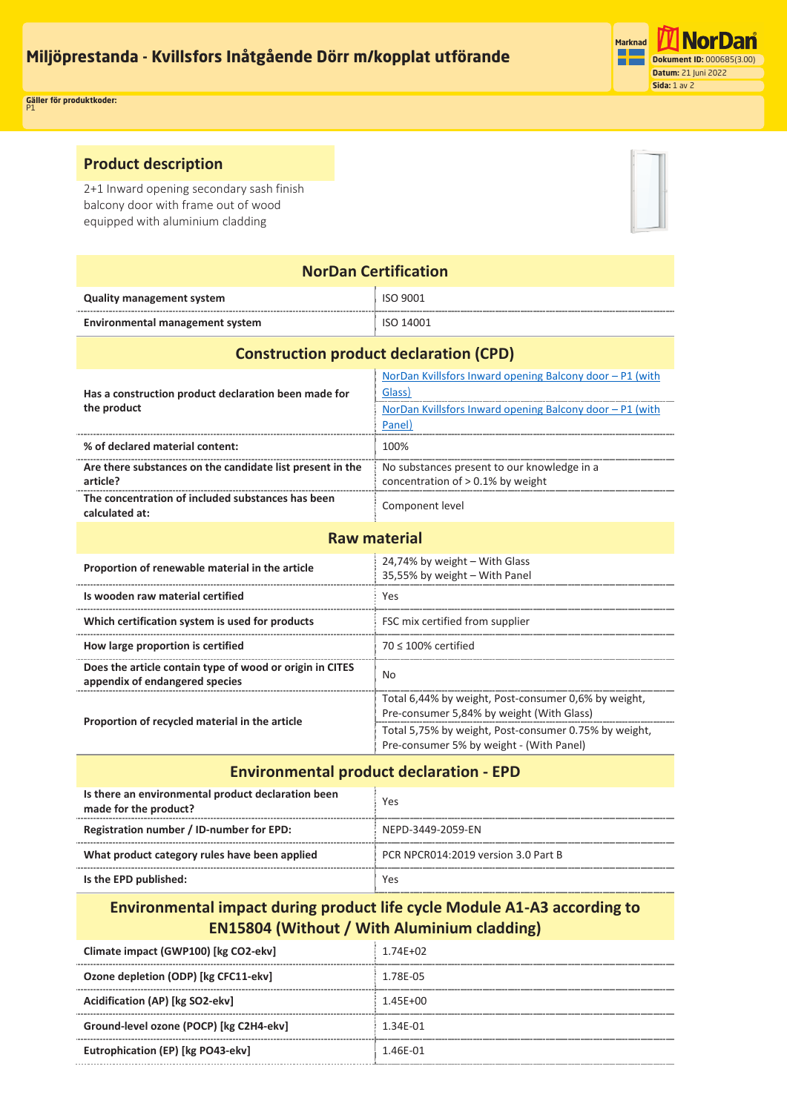

P1 **Gäller för produktkoder: Document ID:** 0005D0(1.0) **Date: 2022-06-21 Page:** 1 of 2

## **Product description**

2+1 Inward opening secondary sash finish balcony door with frame out of wood equipped with aluminium cladding



| <b>NorDan Certification</b>                                                                |                                                                                                                                          |  |
|--------------------------------------------------------------------------------------------|------------------------------------------------------------------------------------------------------------------------------------------|--|
| <b>Quality management system</b>                                                           | ISO 9001                                                                                                                                 |  |
| <b>Environmental management system</b>                                                     | ISO 14001                                                                                                                                |  |
| <b>Construction product declaration (CPD)</b>                                              |                                                                                                                                          |  |
| Has a construction product declaration been made for<br>the product                        | NorDan Kvillsfors Inward opening Balcony door - P1 (with<br>Glass)<br>NorDan Kvillsfors Inward opening Balcony door - P1 (with<br>Panel) |  |
| % of declared material content:                                                            | 100%                                                                                                                                     |  |
| Are there substances on the candidate list present in the<br>article?                      | No substances present to our knowledge in a<br>concentration of > 0.1% by weight                                                         |  |
| The concentration of included substances has been<br>calculated at:                        | Component level                                                                                                                          |  |
| <b>Raw material</b>                                                                        |                                                                                                                                          |  |
| Proportion of renewable material in the article                                            | 24,74% by weight - With Glass<br>35,55% by weight - With Panel                                                                           |  |
| Is wooden raw material certified                                                           | Yes                                                                                                                                      |  |
| Which certification system is used for products                                            | FSC mix certified from supplier                                                                                                          |  |
| How large proportion is certified                                                          | $70 \leq 100\%$ certified                                                                                                                |  |
| Does the article contain type of wood or origin in CITES<br>appendix of endangered species | No.                                                                                                                                      |  |
| Proportion of recycled material in the article                                             | Total 6,44% by weight, Post-consumer 0,6% by weight,<br>Pre-consumer 5,84% by weight (With Glass)                                        |  |
|                                                                                            | Total 5,75% by weight, Post-consumer 0.75% by weight,<br>Pre-consumer 5% by weight - (With Panel)                                        |  |

## **Environmental product declaration - EPD**

| Is there an environmental product declaration been<br>made for the product? | Yes                                 |
|-----------------------------------------------------------------------------|-------------------------------------|
| Registration number / ID-number for EPD:                                    | NFPD-3449-2059-FN                   |
| What product category rules have been applied                               | PCR NPCR014:2019 version 3.0 Part B |
| Is the EPD published:                                                       | Yes                                 |

## **Environmental impact during product life cycle Module A1-A3 according to EN15804 (Without / With Aluminium cladding)**

| Climate impact (GWP100) [kg CO2-ekv]    | $1.74F + 02$ |
|-----------------------------------------|--------------|
| Ozone depletion (ODP) [kg CFC11-ekv]    | 1.78F-05     |
| Acidification (AP) [kg SO2-ekv]         | $1.45F + 00$ |
| Ground-level ozone (POCP) [kg C2H4-ekv] | 1.34F-01     |
| Eutrophication (EP) [kg PO43-ekv]       | 1.46F-01     |